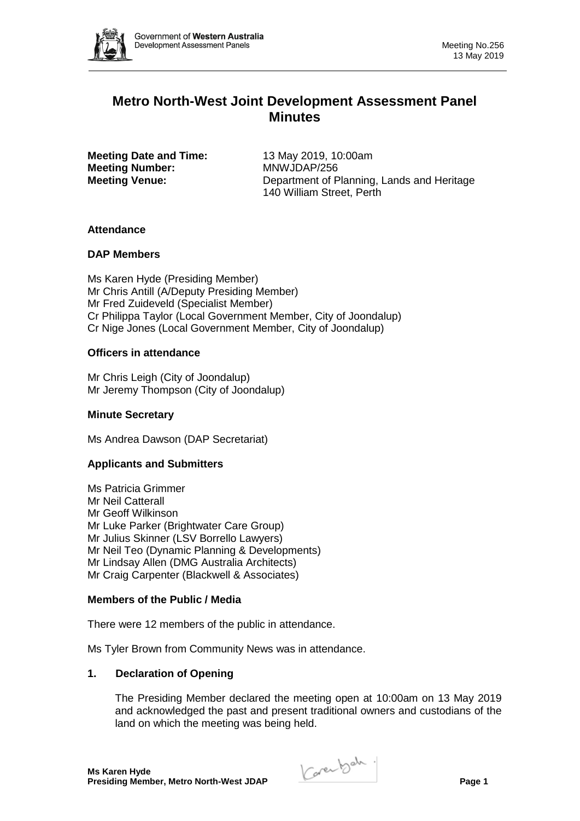

# **Metro North-West Joint Development Assessment Panel Minutes**

**Meeting Date and Time:** 13 May 2019, 10:00am **Meeting Number:** MNWJDAP/256

**Meeting Venue:** Department of Planning, Lands and Heritage 140 William Street, Perth

# **Attendance**

### **DAP Members**

Ms Karen Hyde (Presiding Member) Mr Chris Antill (A/Deputy Presiding Member) Mr Fred Zuideveld (Specialist Member) Cr Philippa Taylor (Local Government Member, City of Joondalup) Cr Nige Jones (Local Government Member, City of Joondalup)

### **Officers in attendance**

Mr Chris Leigh (City of Joondalup) Mr Jeremy Thompson (City of Joondalup)

### **Minute Secretary**

Ms Andrea Dawson (DAP Secretariat)

# **Applicants and Submitters**

Ms Patricia Grimmer Mr Neil Catterall Mr Geoff Wilkinson Mr Luke Parker (Brightwater Care Group) Mr Julius Skinner (LSV Borrello Lawyers) Mr Neil Teo (Dynamic Planning & Developments) Mr Lindsay Allen (DMG Australia Architects) Mr Craig Carpenter (Blackwell & Associates)

### **Members of the Public / Media**

There were 12 members of the public in attendance.

Ms Tyler Brown from Community News was in attendance.

# **1. Declaration of Opening**

The Presiding Member declared the meeting open at 10:00am on 13 May 2019 and acknowledged the past and present traditional owners and custodians of the land on which the meeting was being held.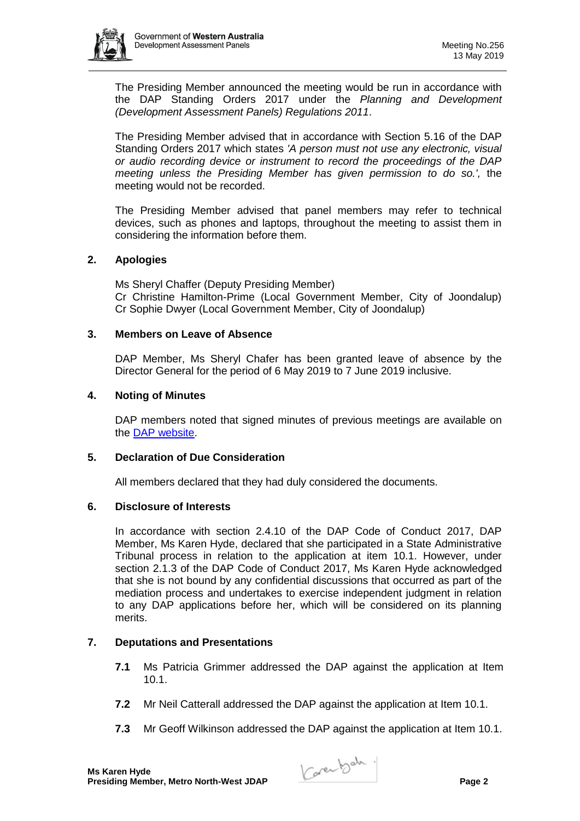

The Presiding Member announced the meeting would be run in accordance with the DAP Standing Orders 2017 under the *Planning and Development (Development Assessment Panels) Regulations 2011*.

The Presiding Member advised that in accordance with Section 5.16 of the DAP Standing Orders 2017 which states *'A person must not use any electronic, visual or audio recording device or instrument to record the proceedings of the DAP meeting unless the Presiding Member has given permission to do so.',* the meeting would not be recorded.

The Presiding Member advised that panel members may refer to technical devices, such as phones and laptops, throughout the meeting to assist them in considering the information before them.

# **2. Apologies**

Ms Sheryl Chaffer (Deputy Presiding Member) Cr Christine Hamilton-Prime (Local Government Member, City of Joondalup) Cr Sophie Dwyer (Local Government Member, City of Joondalup)

# **3. Members on Leave of Absence**

DAP Member, Ms Sheryl Chafer has been granted leave of absence by the Director General for the period of 6 May 2019 to 7 June 2019 inclusive.

# **4. Noting of Minutes**

DAP members noted that signed minutes of previous meetings are available on the [DAP website.](https://www.dplh.wa.gov.au/about/development-assessment-panels/daps-agendas-and-minutes)

# **5. Declaration of Due Consideration**

All members declared that they had duly considered the documents.

# **6. Disclosure of Interests**

In accordance with section 2.4.10 of the DAP Code of Conduct 2017, DAP Member, Ms Karen Hyde, declared that she participated in a State Administrative Tribunal process in relation to the application at item 10.1. However, under section 2.1.3 of the DAP Code of Conduct 2017, Ms Karen Hyde acknowledged that she is not bound by any confidential discussions that occurred as part of the mediation process and undertakes to exercise independent judgment in relation to any DAP applications before her, which will be considered on its planning merits.

# **7. Deputations and Presentations**

- **7.1** Ms Patricia Grimmer addressed the DAP against the application at Item 10.1.
- **7.2** Mr Neil Catterall addressed the DAP against the application at Item 10.1.
- **7.3** Mr Geoff Wilkinson addressed the DAP against the application at Item 10.1.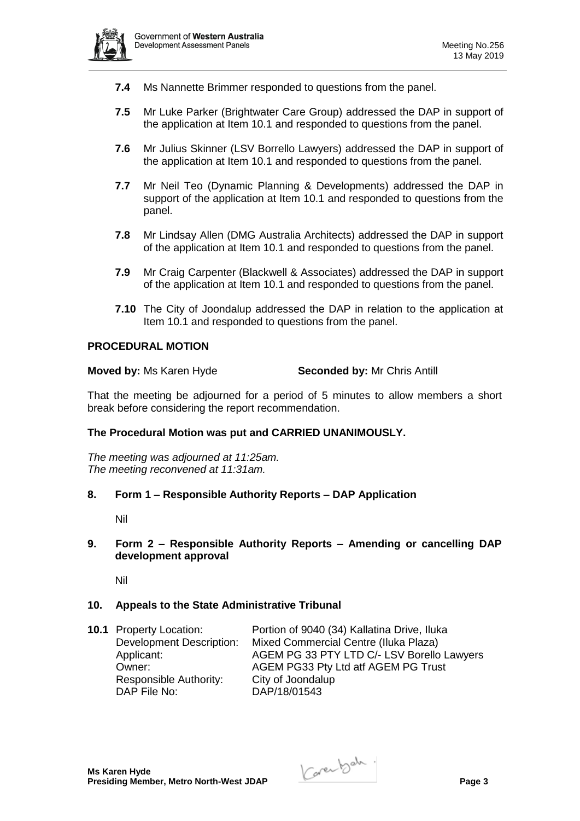

- **7.4** Ms Nannette Brimmer responded to questions from the panel.
- **7.5** Mr Luke Parker (Brightwater Care Group) addressed the DAP in support of the application at Item 10.1 and responded to questions from the panel.
- **7.6** Mr Julius Skinner (LSV Borrello Lawyers) addressed the DAP in support of the application at Item 10.1 and responded to questions from the panel.
- **7.7** Mr Neil Teo (Dynamic Planning & Developments) addressed the DAP in support of the application at Item 10.1 and responded to questions from the panel.
- **7.8** Mr Lindsay Allen (DMG Australia Architects) addressed the DAP in support of the application at Item 10.1 and responded to questions from the panel.
- **7.9** Mr Craig Carpenter (Blackwell & Associates) addressed the DAP in support of the application at Item 10.1 and responded to questions from the panel.
- **7.10** The City of Joondalup addressed the DAP in relation to the application at Item 10.1 and responded to questions from the panel.

### **PROCEDURAL MOTION**

**Moved by: Ms Karen Hyde <b>Seconded by:** Mr Chris Antill

That the meeting be adjourned for a period of 5 minutes to allow members a short break before considering the report recommendation.

### **The Procedural Motion was put and CARRIED UNANIMOUSLY.**

*The meeting was adjourned at 11:25am. The meeting reconvened at 11:31am.*

**8. Form 1 – Responsible Authority Reports – DAP Application**

Nil

### **9. Form 2 – Responsible Authority Reports – Amending or cancelling DAP development approval**

Nil

### **10. Appeals to the State Administrative Tribunal**

Responsible Authority: City of Joondalup<br>DAP File No: DAP/18/01543

**10.1** Property Location: Portion of 9040 (34) Kallatina Drive, Iluka Development Description: Mixed Commercial Centre (Iluka Plaza) Applicant: AGEM PG 33 PTY LTD C/- LSV Borello Lawyers Owner: AGEM PG33 Pty Ltd atf AGEM PG Trust DAP/18/01543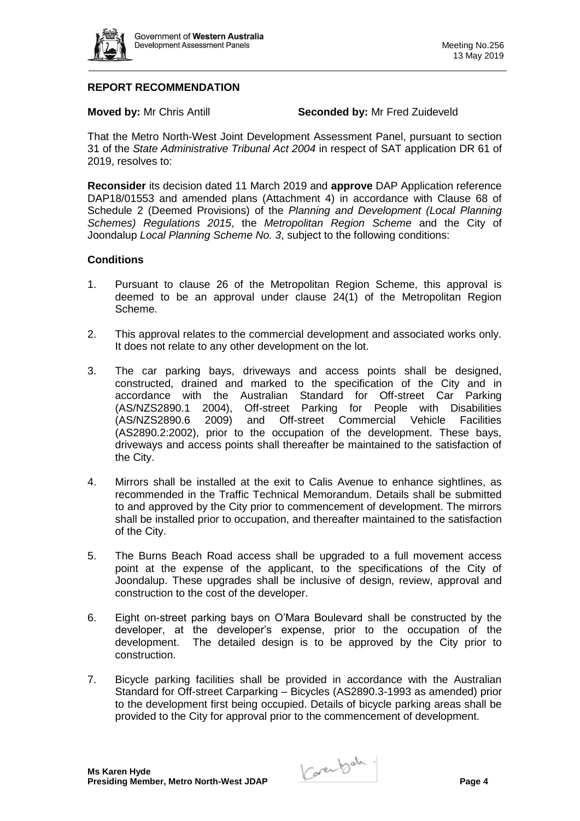

# **REPORT RECOMMENDATION**

**Moved by:** Mr Chris Antill **Seconded by:** Mr Fred Zuideveld

That the Metro North-West Joint Development Assessment Panel, pursuant to section 31 of the *State Administrative Tribunal Act 2004* in respect of SAT application DR 61 of 2019, resolves to:

**Reconsider** its decision dated 11 March 2019 and **approve** DAP Application reference DAP18/01553 and amended plans (Attachment 4) in accordance with Clause 68 of Schedule 2 (Deemed Provisions) of the *Planning and Development (Local Planning Schemes) Regulations 2015*, the *Metropolitan Region Scheme* and the City of Joondalup *Local Planning Scheme No. 3*, subject to the following conditions:

### **Conditions**

- 1. Pursuant to clause 26 of the Metropolitan Region Scheme, this approval is deemed to be an approval under clause 24(1) of the Metropolitan Region Scheme.
- 2. This approval relates to the commercial development and associated works only. It does not relate to any other development on the lot.
- 3. The car parking bays, driveways and access points shall be designed, constructed, drained and marked to the specification of the City and in accordance with the Australian Standard for Off-street Car Parking (AS/NZS2890.1 2004), Off-street Parking for People with Disabilities (AS/NZS2890.6 2009) and Off-street Commercial Vehicle Facilities (AS2890.2:2002), prior to the occupation of the development. These bays, driveways and access points shall thereafter be maintained to the satisfaction of the City.
- 4. Mirrors shall be installed at the exit to Calis Avenue to enhance sightlines, as recommended in the Traffic Technical Memorandum. Details shall be submitted to and approved by the City prior to commencement of development. The mirrors shall be installed prior to occupation, and thereafter maintained to the satisfaction of the City.
- 5. The Burns Beach Road access shall be upgraded to a full movement access point at the expense of the applicant, to the specifications of the City of Joondalup. These upgrades shall be inclusive of design, review, approval and construction to the cost of the developer.
- 6. Eight on-street parking bays on O'Mara Boulevard shall be constructed by the developer, at the developer's expense, prior to the occupation of the development. The detailed design is to be approved by the City prior to construction.
- 7. Bicycle parking facilities shall be provided in accordance with the Australian Standard for Off-street Carparking – Bicycles (AS2890.3-1993 as amended) prior to the development first being occupied. Details of bicycle parking areas shall be provided to the City for approval prior to the commencement of development.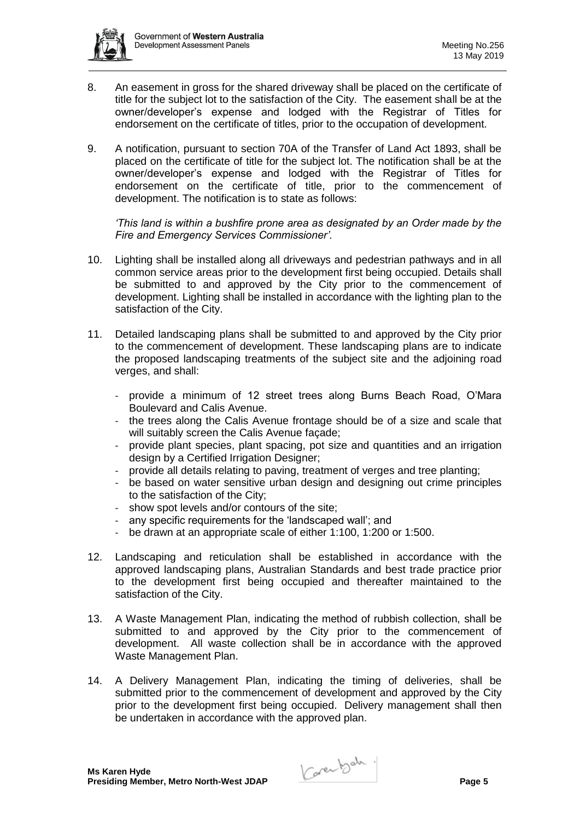

- 8. An easement in gross for the shared driveway shall be placed on the certificate of title for the subject lot to the satisfaction of the City. The easement shall be at the owner/developer's expense and lodged with the Registrar of Titles for endorsement on the certificate of titles, prior to the occupation of development.
- 9. A notification, pursuant to section 70A of the Transfer of Land Act 1893, shall be placed on the certificate of title for the subject lot. The notification shall be at the owner/developer's expense and lodged with the Registrar of Titles for endorsement on the certificate of title, prior to the commencement of development. The notification is to state as follows:

*'This land is within a bushfire prone area as designated by an Order made by the Fire and Emergency Services Commissioner'.*

- 10. Lighting shall be installed along all driveways and pedestrian pathways and in all common service areas prior to the development first being occupied. Details shall be submitted to and approved by the City prior to the commencement of development. Lighting shall be installed in accordance with the lighting plan to the satisfaction of the City.
- 11. Detailed landscaping plans shall be submitted to and approved by the City prior to the commencement of development. These landscaping plans are to indicate the proposed landscaping treatments of the subject site and the adjoining road verges, and shall:
	- provide a minimum of 12 street trees along Burns Beach Road, O'Mara Boulevard and Calis Avenue.
	- the trees along the Calis Avenue frontage should be of a size and scale that will suitably screen the Calis Avenue facade:
	- provide plant species, plant spacing, pot size and quantities and an irrigation design by a Certified Irrigation Designer;
	- provide all details relating to paving, treatment of verges and tree planting;
	- be based on water sensitive urban design and designing out crime principles to the satisfaction of the City;
	- show spot levels and/or contours of the site;
	- any specific requirements for the 'landscaped wall'; and
	- be drawn at an appropriate scale of either 1:100, 1:200 or 1:500.
- 12. Landscaping and reticulation shall be established in accordance with the approved landscaping plans, Australian Standards and best trade practice prior to the development first being occupied and thereafter maintained to the satisfaction of the City.
- 13. A Waste Management Plan, indicating the method of rubbish collection, shall be submitted to and approved by the City prior to the commencement of development. All waste collection shall be in accordance with the approved Waste Management Plan.
- 14. A Delivery Management Plan, indicating the timing of deliveries, shall be submitted prior to the commencement of development and approved by the City prior to the development first being occupied. Delivery management shall then be undertaken in accordance with the approved plan.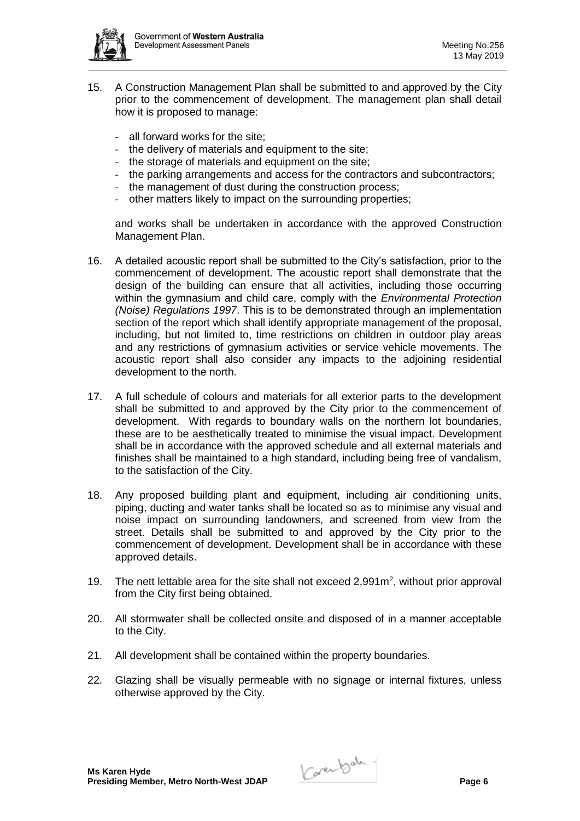

- 15. A Construction Management Plan shall be submitted to and approved by the City prior to the commencement of development. The management plan shall detail how it is proposed to manage:
	- all forward works for the site:
	- the delivery of materials and equipment to the site;
	- the storage of materials and equipment on the site;
	- the parking arrangements and access for the contractors and subcontractors;
	- the management of dust during the construction process;
	- other matters likely to impact on the surrounding properties;

and works shall be undertaken in accordance with the approved Construction Management Plan.

- 16. A detailed acoustic report shall be submitted to the City's satisfaction, prior to the commencement of development. The acoustic report shall demonstrate that the design of the building can ensure that all activities, including those occurring within the gymnasium and child care, comply with the *Environmental Protection (Noise) Regulations 1997*. This is to be demonstrated through an implementation section of the report which shall identify appropriate management of the proposal, including, but not limited to, time restrictions on children in outdoor play areas and any restrictions of gymnasium activities or service vehicle movements. The acoustic report shall also consider any impacts to the adjoining residential development to the north.
- 17. A full schedule of colours and materials for all exterior parts to the development shall be submitted to and approved by the City prior to the commencement of development. With regards to boundary walls on the northern lot boundaries, these are to be aesthetically treated to minimise the visual impact. Development shall be in accordance with the approved schedule and all external materials and finishes shall be maintained to a high standard, including being free of vandalism, to the satisfaction of the City.
- 18. Any proposed building plant and equipment, including air conditioning units, piping, ducting and water tanks shall be located so as to minimise any visual and noise impact on surrounding landowners, and screened from view from the street. Details shall be submitted to and approved by the City prior to the commencement of development. Development shall be in accordance with these approved details.
- 19. The nett lettable area for the site shall not exceed 2,991m<sup>2</sup>, without prior approval from the City first being obtained.
- 20. All stormwater shall be collected onsite and disposed of in a manner acceptable to the City.
- 21. All development shall be contained within the property boundaries.
- 22. Glazing shall be visually permeable with no signage or internal fixtures, unless otherwise approved by the City.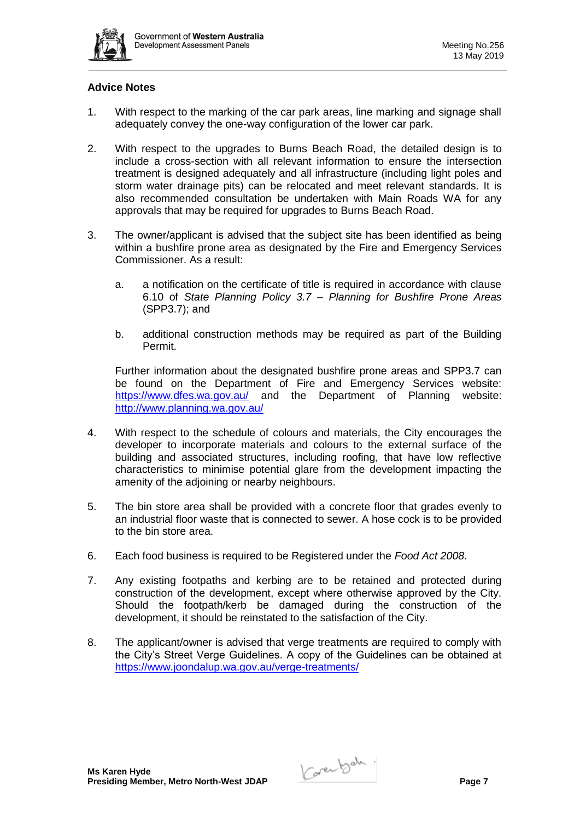

### **Advice Notes**

- 1. With respect to the marking of the car park areas, line marking and signage shall adequately convey the one-way configuration of the lower car park.
- 2. With respect to the upgrades to Burns Beach Road, the detailed design is to include a cross-section with all relevant information to ensure the intersection treatment is designed adequately and all infrastructure (including light poles and storm water drainage pits) can be relocated and meet relevant standards. It is also recommended consultation be undertaken with Main Roads WA for any approvals that may be required for upgrades to Burns Beach Road.
- 3. The owner/applicant is advised that the subject site has been identified as being within a bushfire prone area as designated by the Fire and Emergency Services Commissioner. As a result:
	- a. a notification on the certificate of title is required in accordance with clause 6.10 of *State Planning Policy 3.7 – Planning for Bushfire Prone Areas* (SPP3.7); and
	- b. additional construction methods may be required as part of the Building Permit.

Further information about the designated bushfire prone areas and SPP3.7 can be found on the Department of Fire and Emergency Services website: <https://www.dfes.wa.gov.au/> and the Department of Planning website: <http://www.planning.wa.gov.au/>

- 4. With respect to the schedule of colours and materials, the City encourages the developer to incorporate materials and colours to the external surface of the building and associated structures, including roofing, that have low reflective characteristics to minimise potential glare from the development impacting the amenity of the adjoining or nearby neighbours.
- 5. The bin store area shall be provided with a concrete floor that grades evenly to an industrial floor waste that is connected to sewer. A hose cock is to be provided to the bin store area.
- 6. Each food business is required to be Registered under the *Food Act 2008*.
- 7. Any existing footpaths and kerbing are to be retained and protected during construction of the development, except where otherwise approved by the City. Should the footpath/kerb be damaged during the construction of the development, it should be reinstated to the satisfaction of the City.
- 8. The applicant/owner is advised that verge treatments are required to comply with the City's Street Verge Guidelines. A copy of the Guidelines can be obtained at <https://www.joondalup.wa.gov.au/verge-treatments/>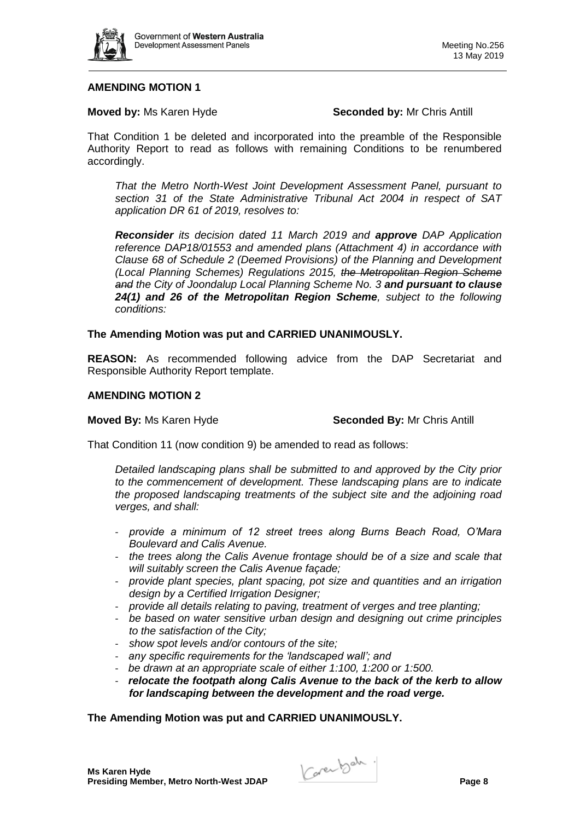

### **AMENDING MOTION 1**

### **Moved by: Ms Karen Hyde <b>Seconded by:** Mr Chris Antill

That Condition 1 be deleted and incorporated into the preamble of the Responsible Authority Report to read as follows with remaining Conditions to be renumbered accordingly.

*That the Metro North-West Joint Development Assessment Panel, pursuant to section 31 of the State Administrative Tribunal Act 2004 in respect of SAT application DR 61 of 2019, resolves to:*

*Reconsider its decision dated 11 March 2019 and approve DAP Application reference DAP18/01553 and amended plans (Attachment 4) in accordance with Clause 68 of Schedule 2 (Deemed Provisions) of the Planning and Development (Local Planning Schemes) Regulations 2015, the Metropolitan Region Scheme and the City of Joondalup Local Planning Scheme No. 3 and pursuant to clause 24(1) and 26 of the Metropolitan Region Scheme, subject to the following conditions:*

### **The Amending Motion was put and CARRIED UNANIMOUSLY.**

**REASON:** As recommended following advice from the DAP Secretariat and Responsible Authority Report template.

### **AMENDING MOTION 2**

### **Moved By: Ms Karen Hyde <b>Seconded By:** Mr Chris Antill

That Condition 11 (now condition 9) be amended to read as follows:

*Detailed landscaping plans shall be submitted to and approved by the City prior to the commencement of development. These landscaping plans are to indicate the proposed landscaping treatments of the subject site and the adjoining road verges, and shall:*

- *provide a minimum of 12 street trees along Burns Beach Road, O'Mara Boulevard and Calis Avenue.*
- *the trees along the Calis Avenue frontage should be of a size and scale that will suitably screen the Calis Avenue façade;*
- *provide plant species, plant spacing, pot size and quantities and an irrigation design by a Certified Irrigation Designer;*
- *provide all details relating to paving, treatment of verges and tree planting;*
- *be based on water sensitive urban design and designing out crime principles to the satisfaction of the City;*
- *show spot levels and/or contours of the site;*
- *any specific requirements for the 'landscaped wall'; and*
- *be drawn at an appropriate scale of either 1:100, 1:200 or 1:500.*
- *relocate the footpath along Calis Avenue to the back of the kerb to allow for landscaping between the development and the road verge.*

### **The Amending Motion was put and CARRIED UNANIMOUSLY.**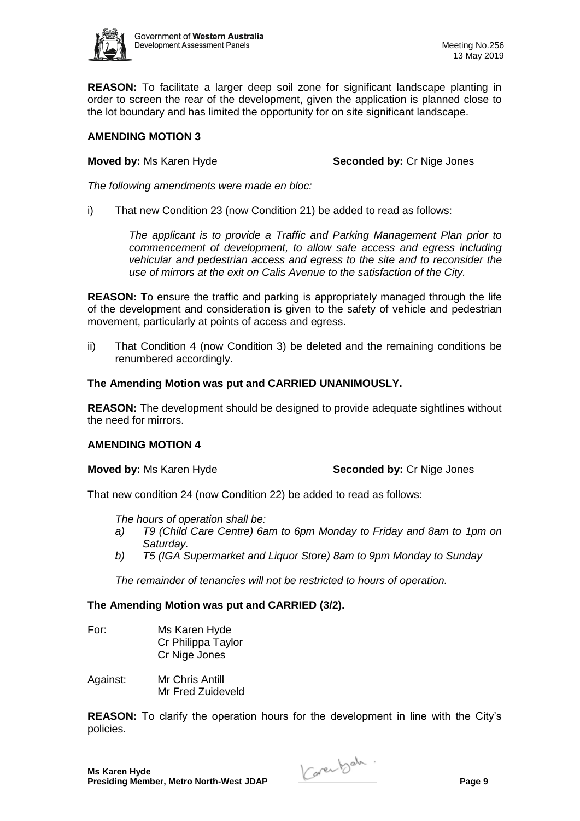

**REASON:** To facilitate a larger deep soil zone for significant landscape planting in order to screen the rear of the development, given the application is planned close to the lot boundary and has limited the opportunity for on site significant landscape.

# **AMENDING MOTION 3**

**Moved by:** Ms Karen Hyde **Seconded by:** Cr Nige Jones

*The following amendments were made en bloc:*

i) That new Condition 23 (now Condition 21) be added to read as follows:

*The applicant is to provide a Traffic and Parking Management Plan prior to commencement of development, to allow safe access and egress including vehicular and pedestrian access and egress to the site and to reconsider the use of mirrors at the exit on Calis Avenue to the satisfaction of the City.*

**REASON: T**o ensure the traffic and parking is appropriately managed through the life of the development and consideration is given to the safety of vehicle and pedestrian movement, particularly at points of access and egress.

ii) That Condition 4 (now Condition 3) be deleted and the remaining conditions be renumbered accordingly.

# **The Amending Motion was put and CARRIED UNANIMOUSLY.**

**REASON:** The development should be designed to provide adequate sightlines without the need for mirrors.

### **AMENDING MOTION 4**

**Moved by:** Ms Karen Hyde **Seconded by:** Cr Nige Jones

That new condition 24 (now Condition 22) be added to read as follows:

*The hours of operation shall be:*

- *a) T9 (Child Care Centre) 6am to 6pm Monday to Friday and 8am to 1pm on Saturday.*
- *b) T5 (IGA Supermarket and Liquor Store) 8am to 9pm Monday to Sunday*

*The remainder of tenancies will not be restricted to hours of operation.*

# **The Amending Motion was put and CARRIED (3/2).**

- For: Ms Karen Hyde Cr Philippa Taylor Cr Nige Jones
- Against: Mr Chris Antill Mr Fred Zuideveld

**REASON:** To clarify the operation hours for the development in line with the City's policies.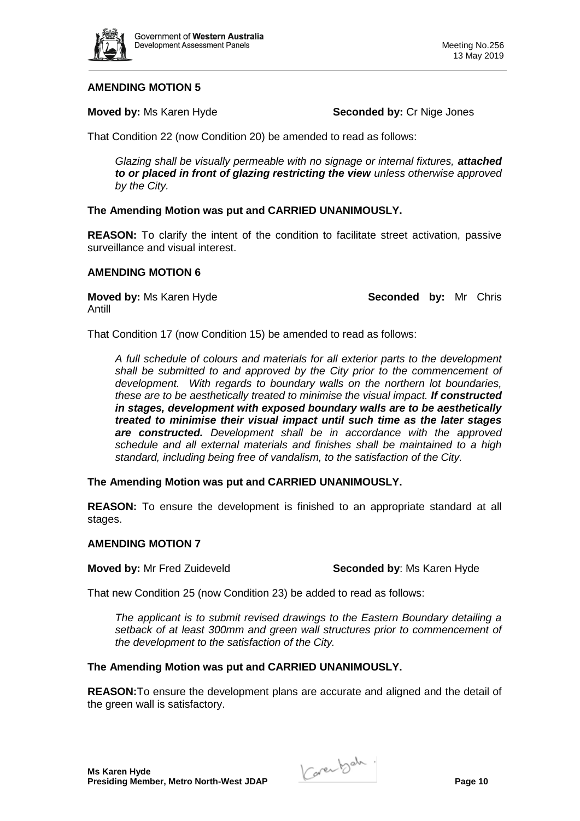

# **AMENDING MOTION 5**

**Moved by:** Ms Karen Hyde **Seconded by:** Cr Nige Jones

That Condition 22 (now Condition 20) be amended to read as follows:

*Glazing shall be visually permeable with no signage or internal fixtures, attached to or placed in front of glazing restricting the view unless otherwise approved by the City.*

### **The Amending Motion was put and CARRIED UNANIMOUSLY.**

**REASON:** To clarify the intent of the condition to facilitate street activation, passive surveillance and visual interest.

### **AMENDING MOTION 6**

Antill

**Moved by:** Ms Karen Hyde **Seconded by:** Mr Chris

That Condition 17 (now Condition 15) be amended to read as follows:

*A full schedule of colours and materials for all exterior parts to the development shall be submitted to and approved by the City prior to the commencement of development. With regards to boundary walls on the northern lot boundaries, these are to be aesthetically treated to minimise the visual impact. If constructed in stages, development with exposed boundary walls are to be aesthetically treated to minimise their visual impact until such time as the later stages are constructed. Development shall be in accordance with the approved schedule and all external materials and finishes shall be maintained to a high standard, including being free of vandalism, to the satisfaction of the City.*

**The Amending Motion was put and CARRIED UNANIMOUSLY.**

**REASON:** To ensure the development is finished to an appropriate standard at all stages.

### **AMENDING MOTION 7**

**Moved by:** Mr Fred Zuideveld **Seconded by:** Ms Karen Hyde

That new Condition 25 (now Condition 23) be added to read as follows:

*The applicant is to submit revised drawings to the Eastern Boundary detailing a*  setback of at least 300mm and green wall structures prior to commencement of *the development to the satisfaction of the City.* 

# **The Amending Motion was put and CARRIED UNANIMOUSLY.**

**REASON:**To ensure the development plans are accurate and aligned and the detail of the green wall is satisfactory.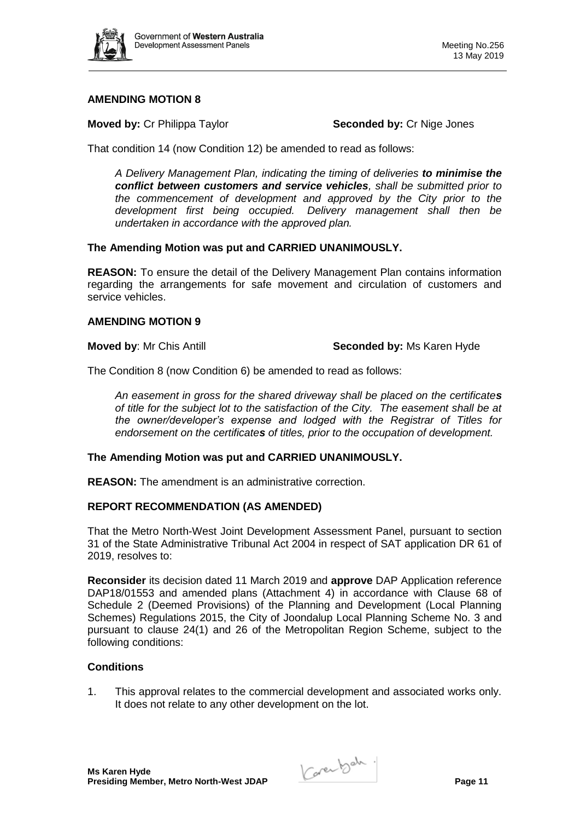

# **AMENDING MOTION 8**

**Moved by:** Cr Philippa Taylor **Seconded by:** Cr Nige Jones

That condition 14 (now Condition 12) be amended to read as follows:

*A Delivery Management Plan, indicating the timing of deliveries to minimise the conflict between customers and service vehicles, shall be submitted prior to the commencement of development and approved by the City prior to the development first being occupied. Delivery management shall then be undertaken in accordance with the approved plan.*

### **The Amending Motion was put and CARRIED UNANIMOUSLY.**

**REASON:** To ensure the detail of the Delivery Management Plan contains information regarding the arrangements for safe movement and circulation of customers and service vehicles.

### **AMENDING MOTION 9**

### **Moved by**: Mr Chis Antill **Seconded by:** Ms Karen Hyde

The Condition 8 (now Condition 6) be amended to read as follows:

*An easement in gross for the shared driveway shall be placed on the certificates of title for the subject lot to the satisfaction of the City. The easement shall be at the owner/developer's expense and lodged with the Registrar of Titles for endorsement on the certificates of titles, prior to the occupation of development.*

# **The Amending Motion was put and CARRIED UNANIMOUSLY.**

**REASON:** The amendment is an administrative correction.

# **REPORT RECOMMENDATION (AS AMENDED)**

That the Metro North-West Joint Development Assessment Panel, pursuant to section 31 of the State Administrative Tribunal Act 2004 in respect of SAT application DR 61 of 2019, resolves to:

**Reconsider** its decision dated 11 March 2019 and **approve** DAP Application reference DAP18/01553 and amended plans (Attachment 4) in accordance with Clause 68 of Schedule 2 (Deemed Provisions) of the Planning and Development (Local Planning Schemes) Regulations 2015, the City of Joondalup Local Planning Scheme No. 3 and pursuant to clause 24(1) and 26 of the Metropolitan Region Scheme, subject to the following conditions:

# **Conditions**

1. This approval relates to the commercial development and associated works only. It does not relate to any other development on the lot.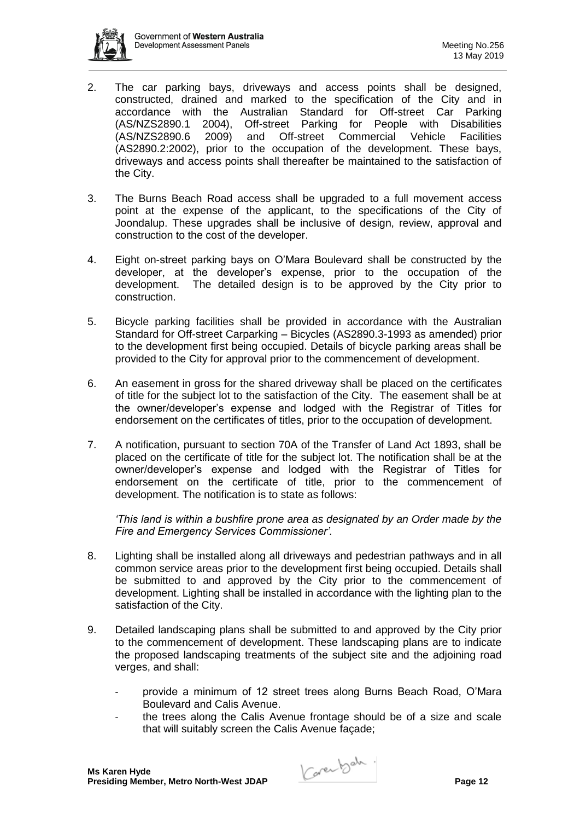

- 2. The car parking bays, driveways and access points shall be designed, constructed, drained and marked to the specification of the City and in accordance with the Australian Standard for Off-street Car Parking (AS/NZS2890.1 2004), Off-street Parking for People with Disabilities (AS/NZS2890.6 2009) and Off-street Commercial Vehicle Facilities (AS2890.2:2002), prior to the occupation of the development. These bays, driveways and access points shall thereafter be maintained to the satisfaction of the City.
- 3. The Burns Beach Road access shall be upgraded to a full movement access point at the expense of the applicant, to the specifications of the City of Joondalup. These upgrades shall be inclusive of design, review, approval and construction to the cost of the developer.
- 4. Eight on-street parking bays on O'Mara Boulevard shall be constructed by the developer, at the developer's expense, prior to the occupation of the development. The detailed design is to be approved by the City prior to construction.
- 5. Bicycle parking facilities shall be provided in accordance with the Australian Standard for Off-street Carparking – Bicycles (AS2890.3-1993 as amended) prior to the development first being occupied. Details of bicycle parking areas shall be provided to the City for approval prior to the commencement of development.
- 6. An easement in gross for the shared driveway shall be placed on the certificates of title for the subject lot to the satisfaction of the City. The easement shall be at the owner/developer's expense and lodged with the Registrar of Titles for endorsement on the certificates of titles, prior to the occupation of development.
- 7. A notification, pursuant to section 70A of the Transfer of Land Act 1893, shall be placed on the certificate of title for the subject lot. The notification shall be at the owner/developer's expense and lodged with the Registrar of Titles for endorsement on the certificate of title, prior to the commencement of development. The notification is to state as follows:

*'This land is within a bushfire prone area as designated by an Order made by the Fire and Emergency Services Commissioner'.*

- 8. Lighting shall be installed along all driveways and pedestrian pathways and in all common service areas prior to the development first being occupied. Details shall be submitted to and approved by the City prior to the commencement of development. Lighting shall be installed in accordance with the lighting plan to the satisfaction of the City.
- 9. Detailed landscaping plans shall be submitted to and approved by the City prior to the commencement of development. These landscaping plans are to indicate the proposed landscaping treatments of the subject site and the adjoining road verges, and shall:
	- provide a minimum of 12 street trees along Burns Beach Road, O'Mara Boulevard and Calis Avenue.
	- the trees along the Calis Avenue frontage should be of a size and scale that will suitably screen the Calis Avenue façade;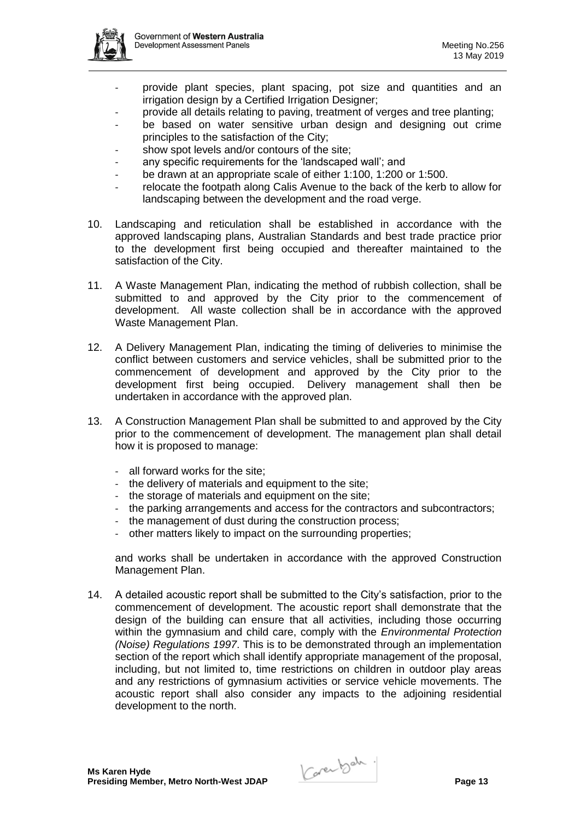

- provide plant species, plant spacing, pot size and quantities and an irrigation design by a Certified Irrigation Designer;
- provide all details relating to paving, treatment of verges and tree planting;
- be based on water sensitive urban design and designing out crime principles to the satisfaction of the City;
- show spot levels and/or contours of the site;
- any specific requirements for the 'landscaped wall'; and
- be drawn at an appropriate scale of either 1:100, 1:200 or 1:500.
- relocate the footpath along Calis Avenue to the back of the kerb to allow for landscaping between the development and the road verge.
- 10. Landscaping and reticulation shall be established in accordance with the approved landscaping plans, Australian Standards and best trade practice prior to the development first being occupied and thereafter maintained to the satisfaction of the City.
- 11. A Waste Management Plan, indicating the method of rubbish collection, shall be submitted to and approved by the City prior to the commencement of development. All waste collection shall be in accordance with the approved Waste Management Plan.
- 12. A Delivery Management Plan, indicating the timing of deliveries to minimise the conflict between customers and service vehicles, shall be submitted prior to the commencement of development and approved by the City prior to the development first being occupied. Delivery management shall then be undertaken in accordance with the approved plan.
- 13. A Construction Management Plan shall be submitted to and approved by the City prior to the commencement of development. The management plan shall detail how it is proposed to manage:
	- all forward works for the site;
	- the delivery of materials and equipment to the site;
	- the storage of materials and equipment on the site;
	- the parking arrangements and access for the contractors and subcontractors;
	- the management of dust during the construction process;
	- other matters likely to impact on the surrounding properties;

and works shall be undertaken in accordance with the approved Construction Management Plan.

14. A detailed acoustic report shall be submitted to the City's satisfaction, prior to the commencement of development. The acoustic report shall demonstrate that the design of the building can ensure that all activities, including those occurring within the gymnasium and child care, comply with the *Environmental Protection (Noise) Regulations 1997*. This is to be demonstrated through an implementation section of the report which shall identify appropriate management of the proposal, including, but not limited to, time restrictions on children in outdoor play areas and any restrictions of gymnasium activities or service vehicle movements. The acoustic report shall also consider any impacts to the adjoining residential development to the north.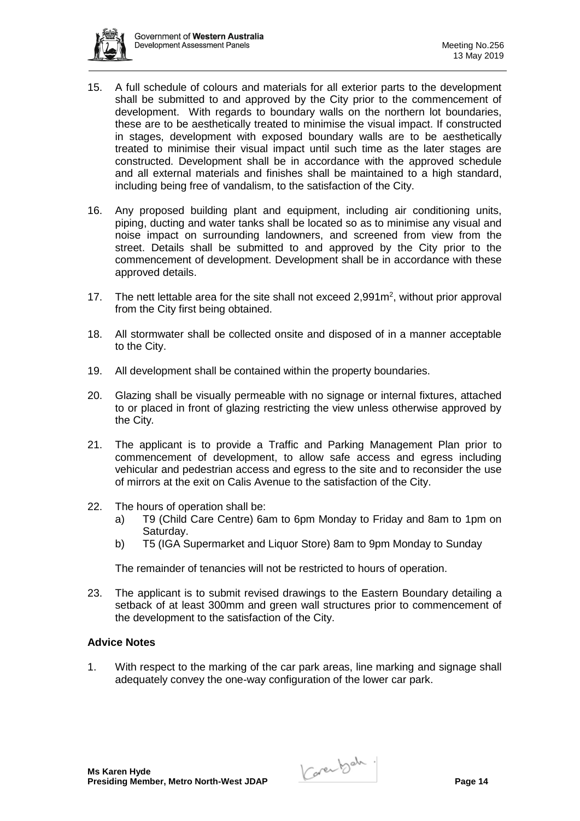

- 15. A full schedule of colours and materials for all exterior parts to the development shall be submitted to and approved by the City prior to the commencement of development. With regards to boundary walls on the northern lot boundaries, these are to be aesthetically treated to minimise the visual impact. If constructed in stages, development with exposed boundary walls are to be aesthetically treated to minimise their visual impact until such time as the later stages are constructed. Development shall be in accordance with the approved schedule and all external materials and finishes shall be maintained to a high standard, including being free of vandalism, to the satisfaction of the City.
- 16. Any proposed building plant and equipment, including air conditioning units, piping, ducting and water tanks shall be located so as to minimise any visual and noise impact on surrounding landowners, and screened from view from the street. Details shall be submitted to and approved by the City prior to the commencement of development. Development shall be in accordance with these approved details.
- 17. The nett lettable area for the site shall not exceed  $2,991m^2$ , without prior approval from the City first being obtained.
- 18. All stormwater shall be collected onsite and disposed of in a manner acceptable to the City.
- 19. All development shall be contained within the property boundaries.
- 20. Glazing shall be visually permeable with no signage or internal fixtures, attached to or placed in front of glazing restricting the view unless otherwise approved by the City*.*
- 21. The applicant is to provide a Traffic and Parking Management Plan prior to commencement of development, to allow safe access and egress including vehicular and pedestrian access and egress to the site and to reconsider the use of mirrors at the exit on Calis Avenue to the satisfaction of the City.
- 22. The hours of operation shall be:
	- a) T9 (Child Care Centre) 6am to 6pm Monday to Friday and 8am to 1pm on Saturday.
	- b) T5 (IGA Supermarket and Liquor Store) 8am to 9pm Monday to Sunday

The remainder of tenancies will not be restricted to hours of operation.

23. The applicant is to submit revised drawings to the Eastern Boundary detailing a setback of at least 300mm and green wall structures prior to commencement of the development to the satisfaction of the City.

### **Advice Notes**

1. With respect to the marking of the car park areas, line marking and signage shall adequately convey the one-way configuration of the lower car park.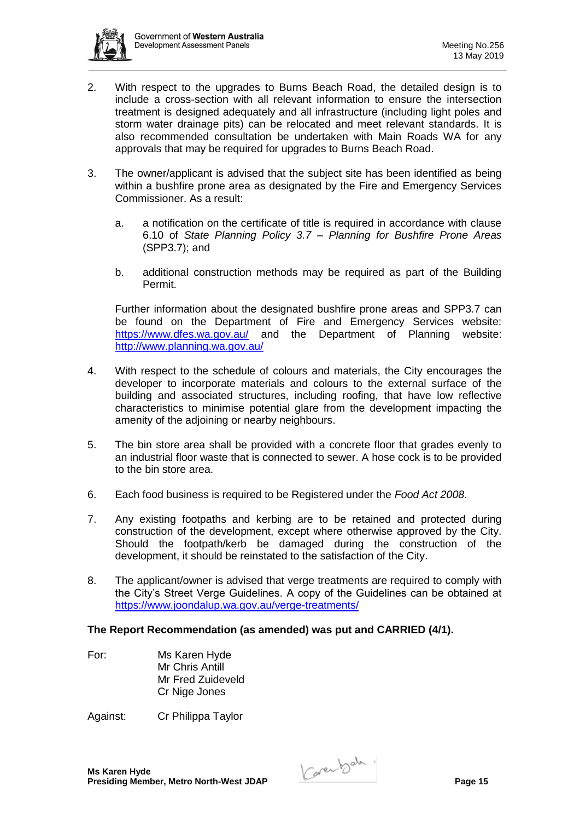

- 2. With respect to the upgrades to Burns Beach Road, the detailed design is to include a cross-section with all relevant information to ensure the intersection treatment is designed adequately and all infrastructure (including light poles and storm water drainage pits) can be relocated and meet relevant standards. It is also recommended consultation be undertaken with Main Roads WA for any approvals that may be required for upgrades to Burns Beach Road.
- 3. The owner/applicant is advised that the subject site has been identified as being within a bushfire prone area as designated by the Fire and Emergency Services Commissioner. As a result:
	- a. a notification on the certificate of title is required in accordance with clause 6.10 of *State Planning Policy 3.7 – Planning for Bushfire Prone Areas* (SPP3.7); and
	- b. additional construction methods may be required as part of the Building Permit.

Further information about the designated bushfire prone areas and SPP3.7 can be found on the Department of Fire and Emergency Services website: <https://www.dfes.wa.gov.au/> and the Department of Planning website: <http://www.planning.wa.gov.au/>

- 4. With respect to the schedule of colours and materials, the City encourages the developer to incorporate materials and colours to the external surface of the building and associated structures, including roofing, that have low reflective characteristics to minimise potential glare from the development impacting the amenity of the adjoining or nearby neighbours.
- 5. The bin store area shall be provided with a concrete floor that grades evenly to an industrial floor waste that is connected to sewer. A hose cock is to be provided to the bin store area.
- 6. Each food business is required to be Registered under the *Food Act 2008*.
- 7. Any existing footpaths and kerbing are to be retained and protected during construction of the development, except where otherwise approved by the City. Should the footpath/kerb be damaged during the construction of the development, it should be reinstated to the satisfaction of the City.
- 8. The applicant/owner is advised that verge treatments are required to comply with the City's Street Verge Guidelines. A copy of the Guidelines can be obtained at <https://www.joondalup.wa.gov.au/verge-treatments/>

# **The Report Recommendation (as amended) was put and CARRIED (4/1).**

For: Ms Karen Hyde Mr Chris Antill Mr Fred Zuideveld Cr Nige Jones

Against: Cr Philippa Taylor

**Ms Karen Hyde Presiding Member, Metro North-West JDAP Page 15**<br>Presiding Member, Metro North-West JDAP